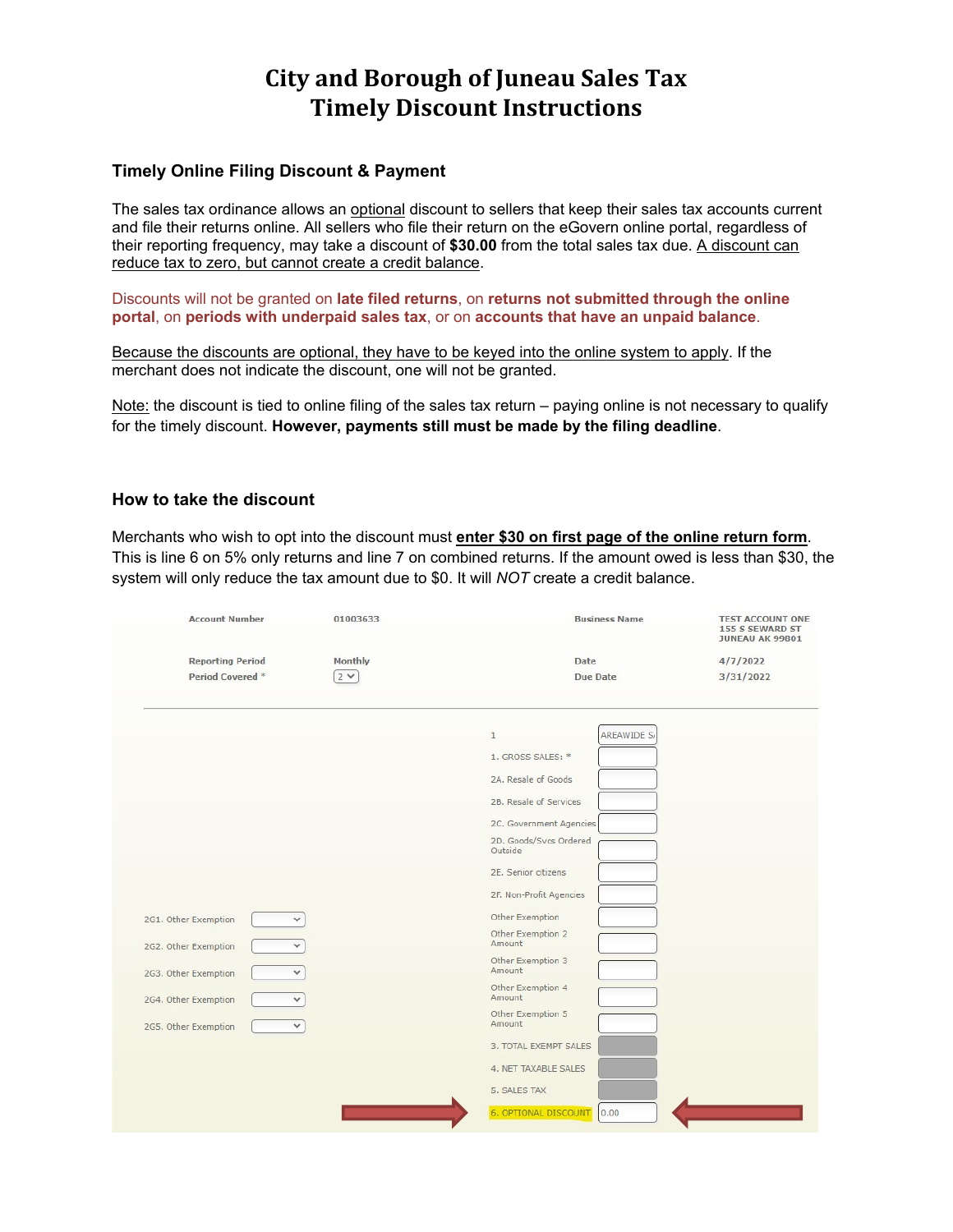# **City and Borough of Juneau Sales Tax Timely Discount Instructions**

# **Timely Online Filing Discount & Payment**

The sales tax ordinance allows an optional discount to sellers that keep their sales tax accounts current and file their returns online. All sellers who file their return on the eGovern online portal, regardless of their reporting frequency, may take a discount of **\$30.00** from the total sales tax due. A discount can reduce tax to zero, but cannot create a credit balance.

Discounts will not be granted on **late filed returns**, on **returns not submitted through the online portal**, on **periods with underpaid sales tax**, or on **accounts that have an unpaid balance**.

Because the discounts are optional, they have to be keyed into the online system to apply. If the merchant does not indicate the discount, one will not be granted.

Note: the discount is tied to online filing of the sales tax return – paying online is not necessary to qualify for the timely discount. **However, payments still must be made by the filing deadline**.

# **How to take the discount**

Merchants who wish to opt into the discount must **enter \$30 on first page of the online return form**. This is line 6 on 5% only returns and line 7 on combined returns. If the amount owed is less than \$30, the system will only reduce the tax amount due to \$0. It will *NOT* create a credit balance.

| <b>Account Number</b>                | 01003633 | <b>Business Name</b>              | <b>TEST ACCOUNT ONE</b><br>155 S SEWARD ST<br><b>JUNEAU AK 99801</b><br>4/7/2022 |  |
|--------------------------------------|----------|-----------------------------------|----------------------------------------------------------------------------------|--|
| <b>Reporting Period</b>              | Monthly  | Date                              |                                                                                  |  |
| Period Covered <sup>*</sup>          | $2 \vee$ | <b>Due Date</b>                   | 3/31/2022                                                                        |  |
|                                      |          | <b>AREAWIDE S</b><br>$\mathbf{1}$ |                                                                                  |  |
|                                      |          | 1. GROSS SALES: *                 |                                                                                  |  |
|                                      |          | 2A. Resale of Goods               |                                                                                  |  |
|                                      |          |                                   |                                                                                  |  |
|                                      |          | 2B. Resale of Services            |                                                                                  |  |
|                                      |          | 2C. Government Agencies           |                                                                                  |  |
|                                      |          | 2D. Goods/Svcs Ordered<br>Outside |                                                                                  |  |
|                                      |          | 2E. Senior citizens               |                                                                                  |  |
|                                      |          | 2F. Non-Profit Agencies           |                                                                                  |  |
| 2G1. Other Exemption<br>$\checkmark$ |          | Other Exemption                   |                                                                                  |  |
| 2G2. Other Exemption                 |          | Other Exemption 2<br>Amount       |                                                                                  |  |
| 2G3. Other Exemption<br>v            |          | Other Exemption 3<br>Amount       |                                                                                  |  |
| 2G4. Other Exemption<br>v            |          | Other Exemption 4<br>Amount       |                                                                                  |  |
|                                      |          | Other Exemption 5<br>Amount       |                                                                                  |  |
| 2G5. Other Exemption<br>$\checkmark$ |          | 3. TOTAL EXEMPT SALES             |                                                                                  |  |
|                                      |          | 4. NET TAXABLE SALES              |                                                                                  |  |
|                                      |          | 5. SALES TAX                      |                                                                                  |  |
|                                      |          | 6. OPTIONAL DISCOUNT 0.00         |                                                                                  |  |